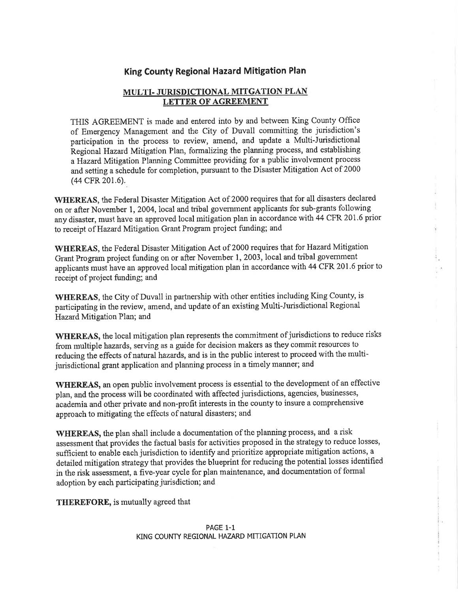## King County Regional Hazard Mitigation Plan

## MULTI- JURISDICTIONAL MITGATION PLAN LETTER OF AGREEMENT

THIS AGREEMENT is made and entered into by and between King County Office of Emergency Management and the City of Duvall committing the jurisdiction's participation in the process to review, amend, and update a Multi-Jurisdictional Regional Hazard Mitigation Plan, formalizing the planning process, and establishing aHazard Mitigation Planning Committee providing for a public involvement process and setting a schedule for completion, pursuant to the Disaster Mitigation Act of 2000 (44 CFR 201.6).

WHEREAS, the Federal Disaster Mitigation Act of 2000 requires that for all disasters declared on or after November 1, 2004, local and tribal government applicants for sub-grants following any disaster, must have an approved local mitigation plan in accordance with 44 CFR 201.6 prior to receipt of Hazard Mitigation Grant Program project funding; and

WHEREAS, the Federal Disaster Mitigation Act of 2000 requires that for Hazard Mitigation Grant Program project funding on or after November l,2003,local and tribal govemment applicants must have an approved local mitigation plan in accordance with 44 CFR 201.6 prior to receipt of project funding; and

WHEREAS, the City of Duvall in partnership with other entities including King County, is participating in the review, amend, and update of an existing Multi-Jurisdictional Regional Hazard Mitigation Plan; and

WHEREAS, the local mitigation plan represents the commitment of jurisdictions to reduce risks from multiple hazards, serving as a guide for decision makers as they commit resources to reducing the effects of natural hazards, and is in the public interest to proceed with the multijurisdictional grant application and planning process in a timely manner; and

WHEREAS, an open public involvement process is essential to the development of an effective plan, and the process will be coordinated with affected jurisdictions, agencies, businesses, ãcademia and other private and non-profit interests in the county to insure a comprehensive approach to mitigating the effects of natural disasters; and

WHEREAS, the plan shall include a documentation of the planning process, and a risk assessment that provides the factual basis for activities proposed in the strategy to reduce losses, sufficient to enable each jurisdiction to identify and prioritize appropriate mitigation actions, a detailed mitigation strategy that provides the blueprint for reducing the potential losses identified in the risk assessment, a five-year cycle for plan maintenance, and documentation of formal adoption by each participating jurisdiction; and

THEREFORE, is mutually agreed that

PAGE 1-1 KING COUNTY REGIONAL HAZARD MITIGATION PLAN